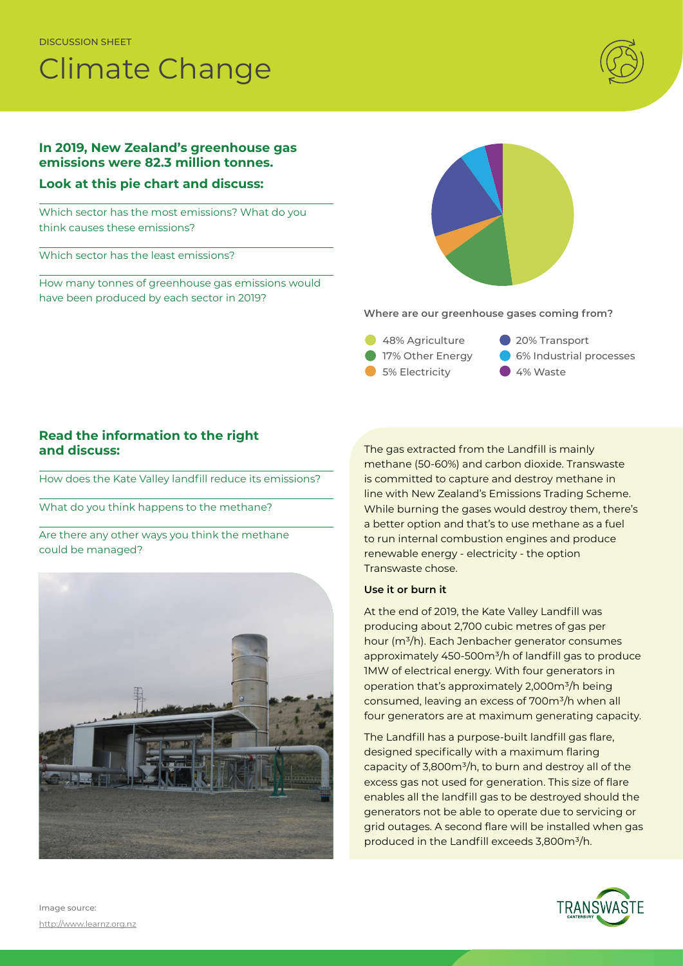DISCUSSION SHEET

# Climate Change



## **In 2019, New Zealand's greenhouse gas emissions were 82.3 million tonnes.**

#### **Look at this pie chart and discuss:**

Which sector has the most emissions? What do you think causes these emissions?

Which sector has the least emissions?

How many tonnes of greenhouse gas emissions would have been produced by each sector in 2019?



**Where are our greenhouse gases coming from?**

- 48% Agriculture 17% Other Energy 5% Electricity
- 20% Transport 6% Industrial processes
- 4% Waste

## **Read the information to the right and discuss:**

How does the Kate Valley landfill reduce its emissions?

What do you think happens to the methane?

Are there any other ways you think the methane could be managed?



The gas extracted from the Landfill is mainly methane (50-60%) and carbon dioxide. Transwaste is committed to capture and destroy methane in line with New Zealand's Emissions Trading Scheme. While burning the gases would destroy them, there's a better option and that's to use methane as a fuel to run internal combustion engines and produce renewable energy - electricity - the option Transwaste chose.

#### **Use it or burn it**

At the end of 2019, the Kate Valley Landfill was producing about 2,700 cubic metres of gas per hour (m<sup>3</sup>/h). Each Jenbacher generator consumes approximately 450-500m<sup>3</sup>/h of landfill gas to produce 1MW of electrical energy. With four generators in operation that's approximately  $2,000m^3/h$  being consumed, leaving an excess of 700m<sup>3</sup>/h when all four generators are at maximum generating capacity.

The Landfill has a purpose-built landfill gas flare, designed specifically with a maximum flaring capacity of 3,800m<sup>3</sup>/h, to burn and destroy all of the excess gas not used for generation. This size of flare enables all the landfill gas to be destroyed should the generators not be able to operate due to servicing or grid outages. A second flare will be installed when gas produced in the Landfill exceeds 3,800m<sup>3</sup>/h.